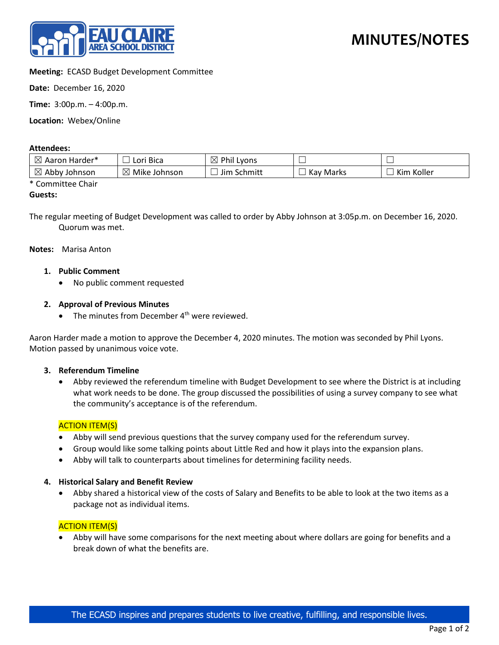

## **Meeting:** ECASD Budget Development Committee

**Date:** December 16, 2020

**Time:** 3:00p.m. – 4:00p.m.

**Location:** Webex/Online

#### **Attendees:**

| $\boxtimes$<br>Aaron Harder* | i Bica<br>Lori | ⊠<br>Phil Lyons |       |            |
|------------------------------|----------------|-----------------|-------|------------|
| ⊠                            | $\boxtimes$    | Jim Schmitt     | Kay   | Koller     |
| Abby Johnson                 | Mike Johnson   |                 | Marks | <b>Kim</b> |

\* Committee Chair

#### **Guests:**

The regular meeting of Budget Development was called to order by Abby Johnson at 3:05p.m. on December 16, 2020. Quorum was met.

**Notes:** Marisa Anton

- **1. Public Comment**
	- No public comment requested

### **2. Approval of Previous Minutes**

• The minutes from December  $4<sup>th</sup>$  were reviewed.

Aaron Harder made a motion to approve the December 4, 2020 minutes. The motion was seconded by Phil Lyons. Motion passed by unanimous voice vote.

#### **3. Referendum Timeline**

• Abby reviewed the referendum timeline with Budget Development to see where the District is at including what work needs to be done. The group discussed the possibilities of using a survey company to see what the community's acceptance is of the referendum.

### **ACTION ITEM(S)**

- Abby will send previous questions that the survey company used for the referendum survey.
- Group would like some talking points about Little Red and how it plays into the expansion plans.
- Abby will talk to counterparts about timelines for determining facility needs.

#### **4. Historical Salary and Benefit Review**

• Abby shared a historical view of the costs of Salary and Benefits to be able to look at the two items as a package not as individual items.

### ACTION ITEM(S)

• Abby will have some comparisons for the next meeting about where dollars are going for benefits and a break down of what the benefits are.